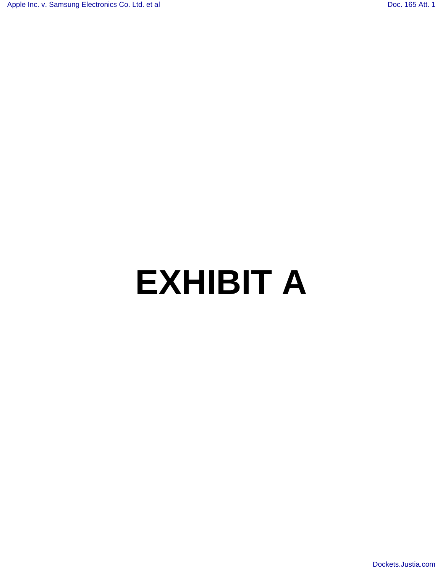# **EXHIBIT A**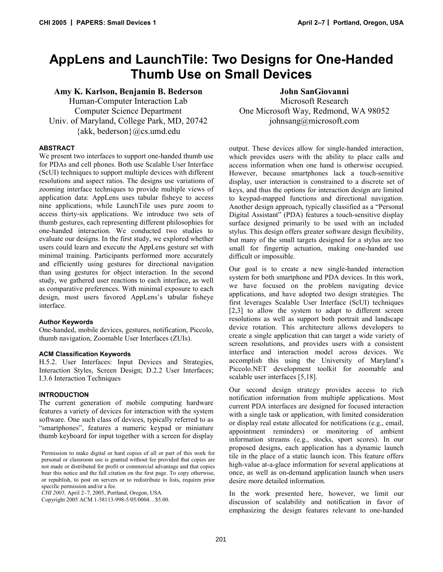## **AppLens and LaunchTile: Two Designs for One-Handed Thumb Use on Small Devices**

### **Amy K. Karlson, Benjamin B. Bederson**

Human-Computer Interaction Lab Computer Science Department Univ. of Maryland, College Park, MD, 20742 {akk, bederson}@cs.umd.edu

#### **ABSTRACT**

We present two interfaces to support one-handed thumb use for PDAs and cell phones. Both use Scalable User Interface (ScUI) techniques to support multiple devices with different resolutions and aspect ratios. The designs use variations of zooming interface techniques to provide multiple views of application data: AppLens uses tabular fisheye to access nine applications, while LaunchTile uses pure zoom to access thirty-six applications. We introduce two sets of thumb gestures, each representing different philosophies for one-handed interaction. We conducted two studies to evaluate our designs. In the first study, we explored whether users could learn and execute the AppLens gesture set with minimal training. Participants performed more accurately and efficiently using gestures for directional navigation than using gestures for object interaction. In the second study, we gathered user reactions to each interface, as well as comparative preferences. With minimal exposure to each design, most users favored AppLens's tabular fisheye interface.

#### **Author Keywords**

One-handed, mobile devices, gestures, notification, Piccolo, thumb navigation, Zoomable User Interfaces (ZUIs).

## **ACM Classification Keywords**

H.5.2. User Interfaces: Input Devices and Strategies, Interaction Styles, Screen Design; D.2.2 User Interfaces; I.3.6 Interaction Techniques

#### **INTRODUCTION**

The current generation of mobile computing hardware features a variety of devices for interaction with the system software. One such class of devices, typically referred to as "smartphones", features a numeric keypad or miniature thumb keyboard for input together with a screen for display

*CHI 2005,* April 2–7, 2005, Portland, Oregon, USA.

## **John SanGiovanni**  Microsoft Research One Microsoft Way, Redmond, WA 98052 johnsang@microsoft.com

output. These devices allow for single-handed interaction, which provides users with the ability to place calls and access information when one hand is otherwise occupied. However, because smartphones lack a touch-sensitive display, user interaction is constrained to a discrete set of keys, and thus the options for interaction design are limited to keypad-mapped functions and directional navigation. Another design approach, typically classified as a "Personal Digital Assistant" (PDA) features a touch-sensitive display surface designed primarily to be used with an included stylus. This design offers greater software design flexibility, but many of the small targets designed for a stylus are too small for fingertip actuation, making one-handed use difficult or impossible.

Our goal is to create a new single-handed interaction system for both smartphone and PDA devices. In this work, we have focused on the problem navigating device applications, and have adopted two design strategies. The first leverages Scalable User Interface (ScUI) techniques [2,3] to allow the system to adapt to different screen resolutions as well as support both portrait and landscape device rotation. This architecture allows developers to create a single application that can target a wide variety of screen resolutions, and provides users with a consistent interface and interaction model across devices. We accomplish this using the University of Maryland's Piccolo.NET development toolkit for zoomable and scalable user interfaces [5,18].

Our second design strategy provides access to rich notification information from multiple applications. Most current PDA interfaces are designed for focused interaction with a single task or application, with limited consideration or display real estate allocated for notifications (e.g., email, appointment reminders) or monitoring of ambient information streams (e.g., stocks, sport scores). In our proposed designs, each application has a dynamic launch tile in the place of a static launch icon. This feature offers high-value at-a-glace information for several applications at once, as well as on-demand application launch when users desire more detailed information.

In the work presented here, however, we limit our discussion of scalability and notification in favor of emphasizing the design features relevant to one-handed

Permission to make digital or hard copies of all or part of this work for personal or classroom use is granted without fee provided that copies are not made or distributed for profit or commercial advantage and that copies bear this notice and the full citation on the first page. To copy otherwise, or republish, to post on servers or to redistribute to lists, requires prior specific permission and/or a fee.

Copyright 2005 ACM 1-58113-998-5/05/0004…\$5.00.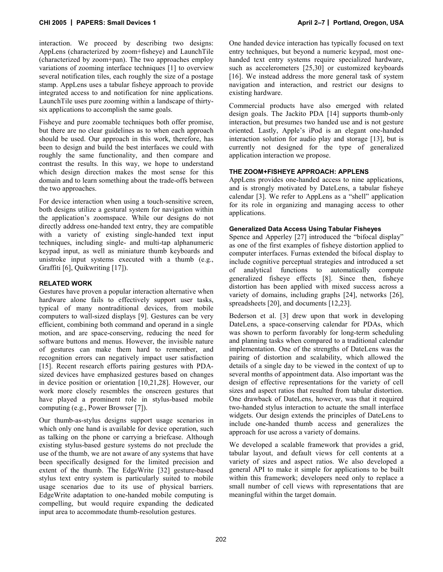interaction. We proceed by describing two designs: AppLens (characterized by zoom+fisheye) and LaunchTile (characterized by zoom+pan). The two approaches employ variations of zooming interface techniques [1] to overview several notification tiles, each roughly the size of a postage stamp. AppLens uses a tabular fisheye approach to provide integrated access to and notification for nine applications. LaunchTile uses pure zooming within a landscape of thirtysix applications to accomplish the same goals.

Fisheye and pure zoomable techniques bout offer profiles,<br>but there are no clear guidelines as to when each approach Fisheye and pure zoomable techniques both offer promise, should be used. Our approach in this work, therefore, has been to design and build the best interfaces we could with roughly the same functionality, and then compare and contrast the results. In this way, we hope to understand which design direction makes the most sense for this domain and to learn something about the trade-offs between the two approaches.

For device interaction when using a touch-sensitive screen, both designs utilize a gestural system for navigation within the application's zoomspace. While our designs do not directly address one-handed text entry, they are compatible with a variety of existing single-handed text input techniques, including single- and multi-tap alphanumeric keypad input, as well as miniature thumb keyboards and unistroke input systems executed with a thumb (e.g., Graffiti [6], Quikwriting [17]).

#### **RELATED WORK**

 recognition errors can negatively impact user satisfaction Gestures have proven a popular interaction alternative when hardware alone fails to effectively support user tasks, typical of many nontraditional devices, from mobile computers to wall-sized displays [9]. Gestures can be very efficient, combining both command and operand in a single motion, and are space-conserving, reducing the need for software buttons and menus. However, the invisible nature of gestures can make them hard to remember, and [15]. Recent research efforts pairing gestures with PDAsized devices have emphasized gestures based on changes in device position or orientation [10,21,28]. However, our work more closely resembles the onscreen gestures that have played a prominent role in stylus-based mobile computing (e.g., Power Browser [7]).

Our thumb-as-stylus designs support usage scenarios in which only one hand is available for device operation, such as talking on the phone or carrying a briefcase. Although existing stylus-based gesture systems do not preclude the use of the thumb, we are not aware of any systems that have been specifically designed for the limited precision and extent of the thumb. The EdgeWrite [32] gesture-based stylus text entry system is particularly suited to mobile usage scenarios due to its use of physical barriers. EdgeWrite adaptation to one-handed mobile computing is compelling, but would require expanding the dedicated input area to accommodate thumb-resolution gestures.

One handed device interaction has typically focused on text entry techniques, but beyond a numeric keypad, most onehanded text entry systems require specialized hardware, such as accelerometers [25,30] or customized keyboards [16]. We instead address the more general task of system navigation and interaction, and restrict our designs to existing hardware.

Commercial products have also emerged with related design goals. The Jackito PDA [14] supports thumb-only interaction, but presumes two handed use and is not gesture oriented. Lastly, Apple's iPod is an elegant one-handed interaction solution for audio play and storage [13], but is currently not designed for the type of generalized application interaction we propose.

#### **THE ZOOM+FISHEYE APPROACH: APPLENS**

AppLens provides one-handed access to nine applications, and is strongly motivated by DateLens, a tabular fisheye calendar [3]. We refer to AppLens as a "shell" application for its role in organizing and managing access to other applications.

#### **Generalized Data Access Using Tabular Fisheyes**

Spence and Apperley [27] introduced the "bifocal display" as one of the first examples of fisheye distortion applied to computer interfaces. Furnas extended the bifocal display to include cognitive perceptual strategies and introduced a set of analytical functions to automatically compute generalized fisheye effects [8]. Since then, fisheye distortion has been applied with mixed success across a variety of domains, including graphs [24], networks [26], spreadsheets [20], and documents [12,23].

Bederson et al. [3] drew upon that work in developing DateLens, a space-conserving calendar for PDAs, which was shown to perform favorably for long-term scheduling and planning tasks when compared to a traditional calendar implementation. One of the strengths of DateLens was the pairing of distortion and scalability, which allowed the details of a single day to be viewed in the context of up to several months of appointment data. Also important was the design of effective representations for the variety of cell sizes and aspect ratios that resulted from tabular distortion. One drawback of DateLens, however, was that it required two-handed stylus interaction to actuate the small interface widgets. Our design extends the principles of DateLens to include one-handed thumb access and generalizes the approach for use across a variety of domains.

We developed a scalable framework that provides a grid, tabular layout, and default views for cell contents at a variety of sizes and aspect ratios. We also developed a general API to make it simple for applications to be built within this framework; developers need only to replace a small number of cell views with representations that are meaningful within the target domain.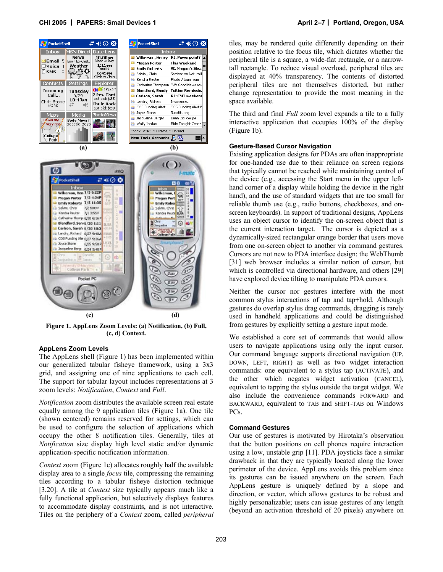

**Figure 1. AppLens Zoom Levels: (a) Notification, (b) Full, (c, d) Context.** 

#### **AppLens Zoom Levels**

 The AppLens shell (Figure 1) has been implemented within our generalized tabular fisheye framework, using a 3x3 grid, and assigning one of nine applications to each cell. The support for tabular layout includes representations at 3 zoom levels: *Notification*, *Context* and *Full*.

*Notification* zoom distributes the available screen real estate equally among the 9 application tiles (Figure 1a). One tile (shown centered) remains reserved for settings, which can be used to configure the selection of applications which occupy the other 8 notification tiles. Generally, tiles at *Notification* size display high level static and/or dynamic application-specific notification information.

*Context* zoom (Figure 1c) allocates roughly half the available display area to a single *focus* tile, compressing the remaining tiles according to a tabular fisheye distortion technique [3,20]. A tile at *Context* size typically appears much like a fully functional application, but selectively displays features to accommodate display constraints, and is not interactive. Tiles on the periphery of a *Context* zoom, called *peripheral*  tiles, may be rendered quite differently depending on their position relative to the focus tile, which dictates whether the peripheral tile is a square, a wide-flat rectangle, or a narrowtall rectangle. To reduce visual overload, peripheral tiles are displayed at 40% transparency. The contents of distorted peripheral tiles are not themselves distorted, but rather change representation to provide the most meaning in the space available.

The third and final *Full* zoom level expands a tile to a fully interactive application that occupies 100% of the display (Figure 1b).

#### **Gesture-Based Cursor Navigation**

Existing application designs for PDAs are often inappropriate for one-handed use due to their reliance on screen regions that typically cannot be reached while maintaining control of the device (e.g., accessing the Start menu in the upper lefthand corner of a display while holding the device in the right hand), and the use of standard widgets that are too small for reliable thumb use (e.g., radio buttons, checkboxes, and onscreen keyboards). In support of traditional designs, AppLens uses an object cursor to identify the on-screen object that is the current interaction target. The cursor is depicted as a dynamically-sized rectangular orange border that users move from one on-screen object to another via command gestures. Cursors are not new to PDA interface design: the WebThumb [31] web browser includes a similar notion of cursor, but which is controlled via directional hardware, and others [29] have explored device tilting to manipulate PDA cursors.

Neither the cursor nor gestures interfere with the most common stylus interactions of tap and tap+hold. Although gestures do overlap stylus drag commands, dragging is rarely used in handheld applications and could be distinguished from gestures by explicitly setting a gesture input mode.

We established a core set of commands that would allow users to navigate applications using only the input cursor. Our command language supports directional navigation (UP, DOWN, LEFT, RIGHT) as well as two widget interaction commands: one equivalent to a stylus tap (ACTIVATE), and the other which negates widget activation (CANCEL), equivalent to tapping the stylus outside the target widget. We also include the convenience commands FORWARD and BACKWARD, equivalent to TAB and SHIFT-TAB on Windows PCs.

#### **Command Gestures**

Our use of gestures is motivated by Hirotaka's observation that the button positions on cell phones require interaction using a low, unstable grip [11]. PDA joysticks face a similar drawback in that they are typically located along the lower perimeter of the device. AppLens avoids this problem since its gestures can be issued anywhere on the screen. Each AppLens gesture is uniquely defined by a slope and direction, or vector, which allows gestures to be robust and highly personalizable; users can issue gestures of any length (beyond an activation threshold of 20 pixels) anywhere on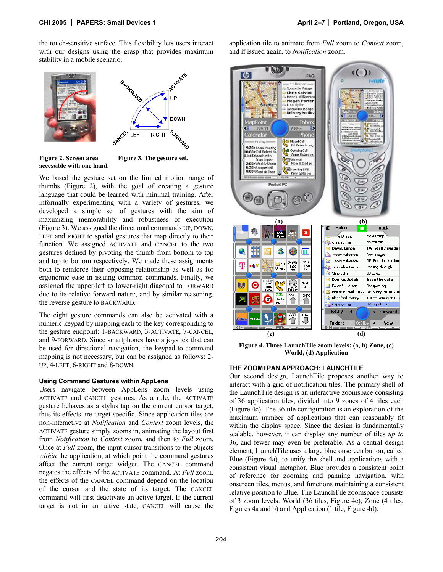the touch-sensitive surface. This flexibility lets users interact with our designs using the grasp that provides maximum stability in a mobile scenario.



Figure 2. Screen area Figure 3. The gesture set. **accessible with one hand.** 

We based the gesture set on the limited motion range of thumbs (Figure 2), with the goal of creating a gesture language that could be learned with minimal training. After informally experimenting with a variety of gestures, we developed a simple set of gestures with the aim of maximizing memorability and robustness of execution (Figure 3). We assigned the directional commands UP, DOWN, LEFT and RIGHT to spatial gestures that map directly to their function. We assigned ACTIVATE and CANCEL to the two gestures defined by pivoting the thumb from bottom to top and top to bottom respectively. We made these assignments both to reinforce their opposing relationship as well as for ergonomic ease in issuing common commands. Finally, we assigned the upper-left to lower-right diagonal to FORWARD due to its relative forward nature, and by similar reasoning, the reverse gesture to BACKWARD.

 mapping is not necessary, but can be assigned as follows: 2- The eight gesture commands can also be activated with a numeric keypad by mapping each to the key corresponding to the gesture endpoint: 1-BACKWARD, 3-ACTIVATE, 7-CANCEL, and 9-FORWARD. Since smartphones have a joystick that can be used for directional navigation, the keypad-to-command UP, 4-LEFT, 6-RIGHT and 8-DOWN.

#### **Using Command Gestures within AppLens**

Users navigate between AppLens zoom levels using ACTIVATE and CANCEL gestures. As a rule, the ACTIVATE gesture behaves as a stylus tap on the current cursor target, thus its effects are target-specific. Since application tiles are non-interactive at *Notification* and *Context* zoom levels, the ACTIVATE gesture simply zooms in, animating the layout first from *Notification* to *Context* zoom, and then to *Full* zoom. Once at *Full* zoom, the input cursor transitions to the objects *within* the application, at which point the command gestures affect the current target widget. The CANCEL command negates the effects of the ACTIVATE command. At *Full* zoom, the effects of the CANCEL command depend on the location of the cursor and the state of its target. The CANCEL command will first deactivate an active target. If the current target is not in an active state, CANCEL will cause the

application tile to animate from *Full* zoom to *Context* zoom, and if issued again, to *Notification* zoom.



**Figure 4. Three LaunchTile zoom levels: (a, b) Zone, (c) World, (d) Application** 

#### **THE ZOOM+PAN APPROACH: LAUNCHTILE**

Our second design, LaunchTile proposes another way to interact with a grid of notification tiles. The primary shell of the LaunchTile design is an interactive zoomspace consisting of 36 application tiles, divided into 9 zones of 4 tiles each (Figure 4c). The 36 tile configuration is an exploration of the maximum number of applications that can reasonably fit within the display space. Since the design is fundamentally scalable, however, it can display any number of tiles *up to* 36, and fewer may even be preferable. As a central design element, LaunchTile uses a large blue onscreen button, called Blue (Figure 4a), to unify the shell and applications with a consistent visual metaphor. Blue provides a consistent point of reference for zooming and panning navigation, with onscreen tiles, menus, and functions maintaining a consistent relative position to Blue. The LaunchTile zoomspace consists of 3 zoom levels: World (36 tiles, Figure 4c), Zone (4 tiles, Figures 4a and b) and Application (1 tile, Figure 4d).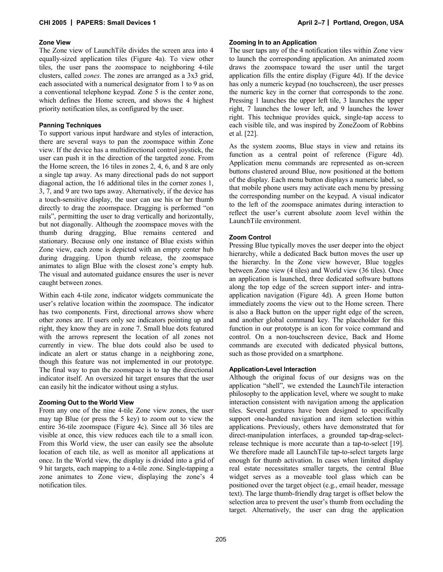#### **Zone View**

The Zone view of LaunchTile divides the screen area into 4 equally-sized application tiles (Figure 4a). To view other tiles, the user pans the zoomspace to neighboring 4-tile clusters, called *zones*. The zones are arranged as a 3x3 grid, each associated with a numerical designator from 1 to 9 as on a conventional telephone keypad. Zone 5 is the center zone, which defines the Home screen, and shows the 4 highest priority notification tiles, as configured by the user.

## **Panning Techniques**

To support various input hardware and styles of interaction, there are several ways to pan the zoomspace within Zone view. If the device has a multidirectional control joystick, the user can push it in the direction of the targeted zone. From the Home screen, the 16 tiles in zones 2, 4, 6, and 8 are only a single tap away. As many directional pads do not support diagonal action, the 16 additional tiles in the corner zones 1, 3, 7, and 9 are two taps away. Alternatively, if the device has a touch-sensitive display, the user can use his or her thumb directly to drag the zoomspace. Dragging is performed "on rails", permitting the user to drag vertically and horizontally, but not diagonally. Although the zoomspace moves with the thumb during dragging, Blue remains centered and stationary. Because only one instance of Blue exists within Zone view, each zone is depicted with an empty center hub during dragging. Upon thumb release, the zoomspace animates to align Blue with the closest zone's empty hub. The visual and automated guidance ensures the user is never caught between zones.

 indicate an alert or status change in a neighboring zone, Within each 4-tile zone, indicator widgets communicate the user's relative location within the zoomspace. The indicator has two components. First, directional arrows show where other zones are. If users only see indicators pointing up and right, they know they are in zone 7. Small blue dots featured with the arrows represent the location of all zones not currently in view. The blue dots could also be used to though this feature was not implemented in our prototype. The final way to pan the zoomspace is to tap the directional indicator itself. An oversized hit target ensures that the user can easily hit the indicator without using a stylus.

#### **Zooming Out to the World View**

From any one of the nine 4-tile Zone view zones, the user may tap Blue (or press the 5 key) to zoom out to view the entire 36-tile zoomspace (Figure 4c). Since all 36 tiles are visible at once, this view reduces each tile to a small icon. From this World view, the user can easily see the absolute location of each tile, as well as monitor all applications at once. In the World view, the display is divided into a grid of 9 hit targets, each mapping to a 4-tile zone. Single-tapping a zone animates to Zone view, displaying the zone's 4 notification tiles.

#### **Zooming In to an Application**

The user taps any of the 4 notification tiles within Zone view to launch the corresponding application. An animated zoom draws the zoomspace toward the user until the target application fills the entire display (Figure 4d). If the device has only a numeric keypad (no touchscreen), the user presses the numeric key in the corner that corresponds to the zone. Pressing 1 launches the upper left tile, 3 launches the upper right, 7 launches the lower left, and 9 launches the lower right. This technique provides quick, single-tap access to each visible tile, and was inspired by ZoneZoom of Robbins et al. [22].

As the system zooms, Blue stays in view and retains its function as a central point of reference (Figure 4d). Application menu commands are represented as on-screen buttons clustered around Blue, now positioned at the bottom of the display. Each menu button displays a numeric label, so that mobile phone users may activate each menu by pressing the corresponding number on the keypad. A visual indicator to the left of the zoomspace animates during interaction to reflect the user's current absolute zoom level within the LaunchTile environment.

#### **Zoom Control**

Pressing Blue typically moves the user deeper into the object hierarchy, while a dedicated Back button moves the user up the hierarchy. In the Zone view however, Blue toggles between Zone view (4 tiles) and World view (36 tiles). Once an application is launched, three dedicated software buttons along the top edge of the screen support inter- and intraapplication navigation (Figure 4d). A green Home button immediately zooms the view out to the Home screen. There is also a Back button on the upper right edge of the screen, and another global command key. The placeholder for this function in our prototype is an icon for voice command and control. On a non-touchscreen device, Back and Home commands are executed with dedicated physical buttons, such as those provided on a smartphone.

#### **Application-Level Interaction**

Although the original focus of our designs was on the application "shell", we extended the LaunchTile interaction philosophy to the application level, where we sought to make interaction consistent with navigation among the application tiles. Several gestures have been designed to specifically support one-handed navigation and item selection within applications. Previously, others have demonstrated that for direct-manipulation interfaces, a grounded tap-drag-selectrelease technique is more accurate than a tap-to-select [19]. We therefore made all LaunchTile tap-to-select targets large enough for thumb activation. In cases when limited display real estate necessitates smaller targets, the central Blue widget serves as a moveable tool glass which can be positioned over the target object (e.g., email header, message text). The large thumb-friendly drag target is offset below the selection area to prevent the user's thumb from occluding the target. Alternatively, the user can drag the application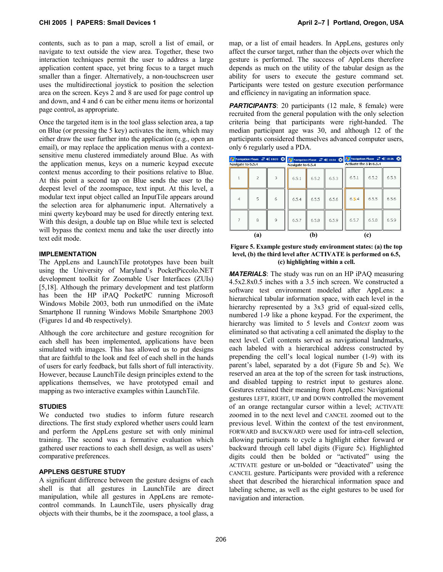contents, such as to pan a map, scroll a list of email, or navigate to text outside the view area. Together, these two interaction techniques permit the user to address a large application content space, yet bring focus to a target much smaller than a finger. Alternatively, a non-touchscreen user uses the multidirectional joystick to position the selection area on the screen. Keys 2 and 8 are used for page control up and down, and 4 and 6 can be either menu items or horizontal page control, as appropriate.

 on Blue (or pressing the 5 key) activates the item, which may Once the targeted item is in the tool glass selection area, a tap either draw the user further into the application (e.g., open an email), or may replace the application menus with a contextsensitive menu clustered immediately around Blue. As with the application menus, keys on a numeric keypad execute context menus according to their positions relative to Blue. At this point a second tap on Blue sends the user to the deepest level of the zoomspace, text input. At this level, a modular text input object called an InputTile appears around the selection area for alphanumeric input. Alternatively a mini qwerty keyboard may be used for directly entering text. With this design, a double tap on Blue while text is selected will bypass the context menu and take the user directly into text edit mode.

#### **IMPLEMENTATION**

The AppLens and LaunchTile prototypes have been built using the University of Maryland's PocketPiccolo.NET development toolkit for Zoomable User Interfaces (ZUIs) [5,18]. Although the primary development and test platform has been the HP iPAQ PocketPC running Microsoft Windows Mobile 2003, both run unmodified on the iMate Smartphone II running Windows Mobile Smartphone 2003 (Figures 1d and 4b respectively).

 that are faithful to the look and feel of each shell in the hands Although the core architecture and gesture recognition for each shell has been implemented, applications have been simulated with images. This has allowed us to put designs of users for early feedback, but falls short of full interactivity. However, because LaunchTile design principles extend to the applications themselves, we have prototyped email and mapping as two interactive examples within LaunchTile.

#### **STUDIES**

We conducted two studies to inform future research directions. The first study explored whether users could learn and perform the AppLens gesture set with only minimal training. The second was a formative evaluation which gathered user reactions to each shell design, as well as users' comparative preferences.

#### **APPLENS GESTURE STUDY**

A significant difference between the gesture designs of each shell is that all gestures in LaunchTile are direct manipulation, while all gestures in AppLens are remotecontrol commands. In LaunchTile, users physically drag objects with their thumbs, be it the zoomspace, a tool glass, a

map, or a list of email headers. In AppLens, gestures only affect the cursor target, rather than the objects over which the gesture is performed. The success of AppLens therefore depends as much on the utility of the tabular design as the ability for users to execute the gesture command set. Participants were tested on gesture execution performance and efficiency in navigating an information space.

*PARTICIPANTS*: 20 participants (12 male, 8 female) were recruited from the general population with the only selection criteria being that participants were right-handed. The median participant age was 30, and although 12 of the participants considered themselves advanced computer users, only 6 regularly used a PDA.

|                   |                |   | <mark>#F</mark> Navigation Phase # (€ 10:33 ) # Navigation Phase # (€ 10:34 ) |       |       | <mark>#7</mark> Navigation Phase # € 10:36 <b>8</b> |       |       |
|-------------------|----------------|---|-------------------------------------------------------------------------------|-------|-------|-----------------------------------------------------|-------|-------|
| Navigate to 6.5.4 |                |   | Navigate to 6.5.4                                                             |       |       | Activate the 5 in 6.5.4                             |       |       |
|                   | $\overline{c}$ | 3 | 6.5.1                                                                         | 6.5.2 | 6.5.3 | 6.5.1                                               | 6.5.2 | 6.5.3 |
| $\overline{4}$    | 5              | 6 | 6.5.4                                                                         | 6.5.5 | 6.5.6 | 6.54                                                | 6.5.5 | 6.5.6 |
|                   | 8              | 9 | 6.5.7                                                                         | 6.5.8 | 6.5.9 | 6.5.7                                               | 6.5.8 | 6.5.9 |
|                   | (a)            |   | (b)                                                                           |       |       | (c)                                                 |       |       |

**Figure 5. Example gesture study environment states: (a) the top level, (b) the third level after ACTIVATE is performed on 6.5, (c) highlighting within a cell.** 

*MATERIALS*: The study was run on an HP iPAQ measuring 4.5x2.8x0.5 inches with a 3.5 inch screen. We constructed a software test environment modeled after AppLens: a hierarchical tabular information space, with each level in the hierarchy represented by a 3x3 grid of equal-sized cells, numbered 1-9 like a phone keypad. For the experiment, the hierarchy was limited to 5 levels and *Context* zoom was eliminated so that activating a cell animated the display to the next level. Cell contents served as navigational landmarks, each labeled with a hierarchical address constructed by prepending the cell's local logical number (1-9) with its parent's label, separated by a dot (Figure 5b and 5c). We reserved an area at the top of the screen for task instructions, and disabled tapping to restrict input to gestures alone. Gestures retained their meaning from AppLens: Navigational gestures LEFT, RIGHT, UP and DOWN controlled the movement of an orange rectangular cursor within a level; ACTIVATE zoomed in to the next level and CANCEL zoomed out to the previous level. Within the context of the test environment, FORWARD and BACKWARD were used for intra-cell selection, allowing participants to cycle a highlight either forward or backward through cell label digits (Figure 5c). Highlighted digits could then be bolded or "activated" using the ACTIVATE gesture or un-bolded or "deactivated" using the CANCEL gesture. Participants were provided with a reference sheet that described the hierarchical information space and labeling scheme, as well as the eight gestures to be used for navigation and interaction.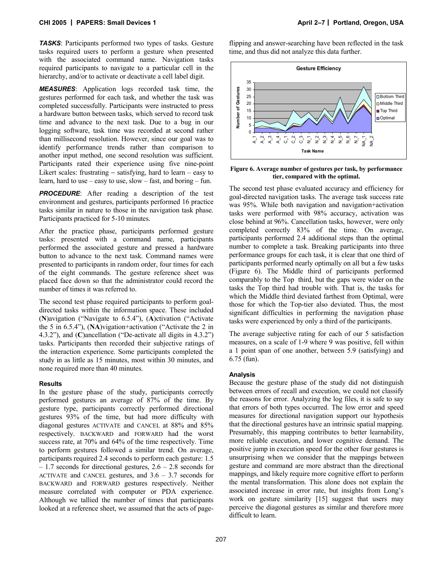*TASKS*: Participants performed two types of tasks. Gesture tasks required users to perform a gesture when presented with the associated command name. Navigation tasks required participants to navigate to a particular cell in the hierarchy, and/or to activate or deactivate a cell label digit.

lime and advance to the next task. Due to a bug in our logging software, task time was recorded at second rather *MEASURES*: Application logs recorded task time, the gestures performed for each task, and whether the task was completed successfully. Participants were instructed to press a hardware button between tasks, which served to record task time and advance to the next task. Due to a bug in our than millisecond resolution. However, since our goal was to identify performance trends rather than comparison to another input method, one second resolution was sufficient. Participants rated their experience using five nine-point Likert scales: frustrating − satisfying, hard to learn – easy to learn, hard to use – easy to use, slow – fast, and boring – fun.

**PROCEDURE:** After reading a description of the test environment and gestures, participants performed 16 practice tasks similar in nature to those in the navigation task phase. Participants practiced for 5-10 minutes.

After the practice phase, participants performed gesture tasks: presented with a command name, participants performed the associated gesture and pressed a hardware button to advance to the next task. Command names were presented to participants in random order, four times for each of the eight commands. The gesture reference sheet was placed face down so that the administrator could record the number of times it was referred to.

study in as little as 15 minutes, most within 30 minutes, and The second test phase required participants to perform goaldirected tasks within the information space. These included (**N**)avigation ("Navigate to 6.5.4"), (**A**)ctivation ("Activate the 5 in 6.5.4"), (**NA**)vigation+activation ("Activate the 2 in 4.3.2"), and (**C**)ancellation ("De-activate all digits in 4.3.2") tasks. Participants then recorded their subjective ratings of the interaction experience. Some participants completed the none required more than 40 minutes.

#### **Results**

In the gesture phase of the study, participants correctly performed gestures an average of 87% of the time. By gesture type, participants correctly performed directional gestures 93% of the time, but had more difficulty with diagonal gestures ACTIVATE and CANCEL at 88% and 85% respectively. BACKWARD and FORWARD had the worst success rate, at 70% and 64% of the time respectively. Time to perform gestures followed a similar trend. On average, participants required 2.4 seconds to perform each gesture: 1.5 – 1.7 seconds for directional gestures, 2.6 – 2.8 seconds for ACTIVATE and CANCEL gestures, and 3.6 – 3.7 seconds for BACKWARD and FORWARD gestures respectively. Neither measure correlated with computer or PDA experience. Although we tallied the number of times that participants looked at a reference sheet, we assumed that the acts of page-

flipping and answer-searching have been reflected in the task time, and thus did not analyze this data further.



**Figure 6. Average number of gestures per task, by performance tier, compared with the optimal.** 

The second test phase evaluated accuracy and efficiency for goal-directed navigation tasks. The average task success rate was 95%. While both navigation and navigation+activation tasks were performed with 98% accuracy, activation was close behind at 96%. Cancellation tasks, however, were only completed correctly 83% of the time. On average, participants performed 2.4 additional steps than the optimal number to complete a task. Breaking participants into three performance groups for each task, it is clear that one third of participants performed nearly optimally on all but a few tasks (Figure 6). The Middle third of participants performed comparably to the Top third, but the gaps were wider on the tasks the Top third had trouble with. That is, the tasks for which the Middle third deviated farthest from Optimal, were those for which the Top-tier also deviated. Thus, the most significant difficulties in performing the navigation phase tasks were experienced by only a third of the participants.

The average subjective rating for each of our 5 satisfaction measures, on a scale of 1-9 where 9 was positive, fell within a 1 point span of one another, between 5.9 (satisfying) and 6.75 (fun).

#### **Analysis**

Because the gesture phase of the study did not distinguish between errors of recall and execution, we could not classify the reasons for error. Analyzing the log files, it is safe to say that errors of both types occurred. The low error and speed measures for directional navigation support our hypothesis that the directional gestures have an intrinsic spatial mapping. Presumably, this mapping contributes to better learnability, more reliable execution, and lower cognitive demand. The positive jump in execution speed for the other four gestures is unsurprising when we consider that the mappings between gesture and command are more abstract than the directional mappings, and likely require more cognitive effort to perform the mental transformation. This alone does not explain the associated increase in error rate, but insights from Long's work on gesture similarity [15] suggest that users may perceive the diagonal gestures as similar and therefore more difficult to learn.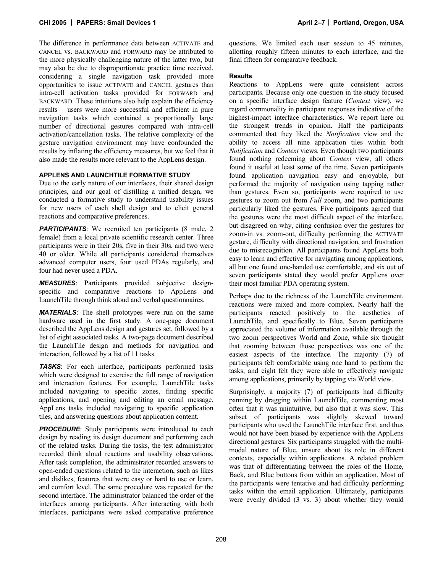number of directional gestures compared with intra-cell The difference in performance data between ACTIVATE and CANCEL vs. BACKWARD and FORWARD may be attributed to the more physically challenging nature of the latter two, but may also be due to disproportionate practice time received, considering a single navigation task provided more opportunities to issue ACTIVATE and CANCEL gestures than intra-cell activation tasks provided for FORWARD and BACKWARD. These intuitions also help explain the efficiency results – users were more successful and efficient in pure navigation tasks which contained a proportionally large activation/cancellation tasks. The relative complexity of the gesture navigation environment may have confounded the results by inflating the efficiency measures, but we feel that it also made the results more relevant to the AppLens design.

#### **APPLENS AND LAUNCHTILE FORMATIVE STUDY**

Due to the early nature of our interfaces, their shared design principles, and our goal of distilling a unified design, we conducted a formative study to understand usability issues for new users of each shell design and to elicit general reactions and comparative preferences.

*PARTICIPANTS*: We recruited ten participants (8 male, 2) female) from a local private scientific research center. Three participants were in their 20s, five in their 30s, and two were 40 or older. While all participants considered themselves advanced computer users, four used PDAs regularly, and four had never used a PDA.

*MEASURES*: Participants provided subjective designspecific and comparative reactions to AppLens and LaunchTile through think aloud and verbal questionnaires.

 interaction, followed by a list of 11 tasks. *MATERIALS*: The shell prototypes were run on the same hardware used in the first study. A one-page document described the AppLens design and gestures set, followed by a list of eight associated tasks. A two-page document described the LaunchTile design and methods for navigation and

*TASKS*: For each interface, participants performed tasks which were designed to exercise the full range of navigation and interaction features. For example, LaunchTile tasks included navigating to specific zones, finding specific applications, and opening and editing an email message. AppLens tasks included navigating to specific application tiles, and answering questions about application content.

**PROCEDURE:** Study participants were introduced to each design by reading its design document and performing each of the related tasks. During the tasks, the test administrator recorded think aloud reactions and usability observations. After task completion, the administrator recorded answers to open-ended questions related to the interaction, such as likes and dislikes, features that were easy or hard to use or learn, and comfort level. The same procedure was repeated for the second interface. The administrator balanced the order of the interfaces among participants. After interacting with both interfaces, participants were asked comparative preference

questions. We limited each user session to 45 minutes, allotting roughly fifteen minutes to each interface, and the final fifteen for comparative feedback.

#### **Results**

Reactions to AppLens were quite consistent across participants. Because only one question in the study focused on a specific interface design feature (*Context* view), we regard commonality in participant responses indicative of the highest-impact interface characteristics. We report here on the strongest trends in opinion. Half the participants commented that they liked the *Notification* view and the ability to access all nine application tiles within both *Notification* and *Context* views. Even though two participants found nothing redeeming about *Context* view, all others found it useful at least some of the time. Seven participants found application navigation easy and enjoyable, but performed the majority of navigation using tapping rather than gestures. Even so, participants were required to use gestures to zoom out from *Full* zoom, and two participants particularly liked the gestures. Five participants agreed that the gestures were the most difficult aspect of the interface, but disagreed on why, citing confusion over the gestures for zoom-in vs. zoom-out, difficulty performing the ACTIVATE gesture, difficulty with directional navigation, and frustration due to misrecognition. All participants found AppLens both easy to learn and effective for navigating among applications, all but one found one-handed use comfortable, and six out of seven participants stated they would prefer AppLens over their most familiar PDA operating system.

Perhaps due to the richness of the LaunchTile environment, reactions were mixed and more complex. Nearly half the participants reacted positively to the aesthetics of LaunchTile, and specifically to Blue. Seven participants appreciated the volume of information available through the two zoom perspectives World and Zone, while six thought that zooming between those perspectives was one of the easiest aspects of the interface. The majority (7) of participants felt comfortable using one hand to perform the tasks, and eight felt they were able to effectively navigate among applications, primarily by tapping via World view.

Surprisingly, a majority (7) of participants had difficulty panning by dragging within LaunchTile, commenting most often that it was unintuitive, but also that it was slow. This subset of participants was slightly skewed toward participants who used the LaunchTile interface first, and thus would not have been biased by experience with the AppLens directional gestures. Six participants struggled with the multimodal nature of Blue, unsure about its role in different contexts, especially within applications. A related problem was that of differentiating between the roles of the Home, Back, and Blue buttons from within an application. Most of the participants were tentative and had difficulty performing tasks within the email application. Ultimately, participants were evenly divided (3 vs. 3) about whether they would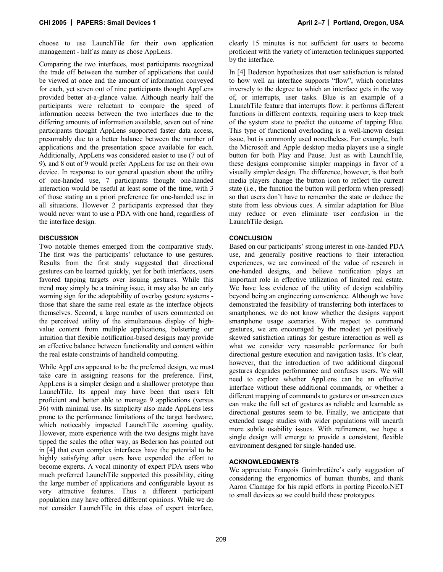choose to use LaunchTile for their own application management - half as many as chose AppLens.

entering amounts of information available, seven out of line<br>participants thought AppLens supported faster data access, Comparing the two interfaces, most participants recognized the trade off between the number of applications that could be viewed at once and the amount of information conveyed for each, yet seven out of nine participants thought AppLens provided better at-a-glance value. Although nearly half the participants were reluctant to compare the speed of information access between the two interfaces due to the differing amounts of information available, seven out of nine presumably due to a better balance between the number of applications and the presentation space available for each. Additionally, AppLens was considered easier to use (7 out of 9), and 8 out of 9 would prefer AppLens for use on their own device. In response to our general question about the utility of one-handed use, 7 participants thought one-handed interaction would be useful at least some of the time, with 3 of those stating an a priori preference for one-handed use in all situations. However 2 participants expressed that they would never want to use a PDA with one hand, regardless of the interface design.

#### **DISCUSSION**

 the real estate constraints of handheld computing. Two notable themes emerged from the comparative study. The first was the participants' reluctance to use gestures. Results from the first study suggested that directional gestures can be learned quickly, yet for both interfaces, users favored tapping targets over issuing gestures. While this trend may simply be a training issue, it may also be an early warning sign for the adoptability of overlay gesture systems those that share the same real estate as the interface objects themselves. Second, a large number of users commented on the perceived utility of the simultaneous display of highvalue content from multiple applications, bolstering our intuition that flexible notification-based designs may provide an effective balance between functionality and content within

While AppLens appeared to be the preferred design, we must take care in assigning reasons for the preference. First, AppLens is a simpler design and a shallower prototype than LaunchTile. Its appeal may have been that users felt proficient and better able to manage 9 applications (versus 36) with minimal use. Its simplicity also made AppLens less prone to the performance limitations of the target hardware, which noticeably impacted LaunchTile zooming quality. However, more experience with the two designs might have tipped the scales the other way, as Bederson has pointed out in [4] that even complex interfaces have the potential to be highly satisfying after users have expended the effort to become experts. A vocal minority of expert PDA users who much preferred LaunchTile supported this possibility, citing the large number of applications and configurable layout as very attractive features. Thus a different participant population may have offered different opinions. While we do not consider LaunchTile in this class of expert interface,

clearly 15 minutes is not sufficient for users to become proficient with the variety of interaction techniques supported by the interface.

In [4] Bederson hypothesizes that user satisfaction is related to how well an interface supports "flow", which correlates inversely to the degree to which an interface gets in the way of, or interrupts, user tasks. Blue is an example of a LaunchTile feature that interrupts flow: it performs different functions in different contexts, requiring users to keep track of the system state to predict the outcome of tapping Blue. This type of functional overloading is a well-known design issue, but is commonly used nonetheless. For example, both the Microsoft and Apple desktop media players use a single button for both Play and Pause. Just as with LaunchTile, these designs compromise simpler mappings in favor of a visually simpler design. The difference, however, is that both media players change the button icon to reflect the current state (i.e., the function the button will perform when pressed) so that users don't have to remember the state or deduce the state from less obvious cues. A similar adaptation for Blue may reduce or even eliminate user confusion in the LaunchTile design.

#### **CONCLUSION**

Based on our participants' strong interest in one-handed PDA use, and generally positive reactions to their interaction experiences, we are convinced of the value of research in one-handed designs, and believe notification plays an important role in effective utilization of limited real estate. We have less evidence of the utility of design scalability beyond being an engineering convenience. Although we have demonstrated the feasibility of transferring both interfaces to smartphones, we do not know whether the designs support smartphone usage scenarios. With respect to command gestures, we are encouraged by the modest yet positively skewed satisfaction ratings for gesture interaction as well as what we consider very reasonable performance for both directional gesture execution and navigation tasks. It's clear, however, that the introduction of two additional diagonal gestures degrades performance and confuses users. We will need to explore whether AppLens can be an effective interface without these additional commands, or whether a different mapping of commands to gestures or on-screen cues can make the full set of gestures as reliable and learnable as directional gestures seem to be. Finally, we anticipate that extended usage studies with wider populations will unearth more subtle usability issues. With refinement, we hope a single design will emerge to provide a consistent, flexible environment designed for single-handed use.

#### **ACKNOWLEDGMENTS**

We appreciate François Guimbretière's early suggestion of considering the ergonomics of human thumbs, and thank Aaron Clamage for his rapid efforts in porting Piccolo.NET to small devices so we could build these prototypes.